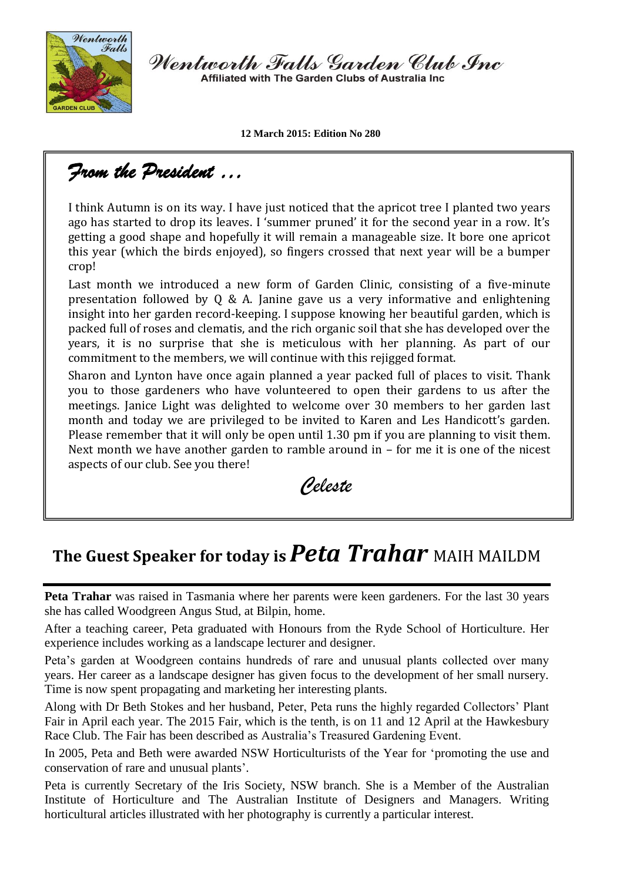

Wentworth Falls Garden Club Inc Affiliated with The Garden Clubs of Australia Inc.

**12 March 2015: Edition No 280**

## *From the President …*

I think Autumn is on its way. I have just noticed that the apricot tree I planted two years ago has started to drop its leaves. I 'summer pruned' it for the second year in a row. It's getting a good shape and hopefully it will remain a manageable size. It bore one apricot this year (which the birds enjoyed), so fingers crossed that next year will be a bumper crop!

Last month we introduced a new form of Garden Clinic, consisting of a five-minute presentation followed by Q & A. Janine gave us a very informative and enlightening insight into her garden record-keeping. I suppose knowing her beautiful garden, which is packed full of roses and clematis, and the rich organic soil that she has developed over the years, it is no surprise that she is meticulous with her planning. As part of our commitment to the members, we will continue with this rejigged format.

Sharon and Lynton have once again planned a year packed full of places to visit. Thank you to those gardeners who have volunteered to open their gardens to us after the meetings. Janice Light was delighted to welcome over 30 members to her garden last month and today we are privileged to be invited to Karen and Les Handicott's garden. Please remember that it will only be open until 1.30 pm if you are planning to visit them. Next month we have another garden to ramble around in – for me it is one of the nicest aspects of our club. See you there!

 *Celeste* 

## **The Guest Speaker for today is***Peta Trahar* MAIH MAILDM

**Peta Trahar** was raised in Tasmania where her parents were keen gardeners. For the last 30 years she has called Woodgreen Angus Stud, at Bilpin, home.

After a teaching career, Peta graduated with Honours from the Ryde School of Horticulture. Her experience includes working as a landscape lecturer and designer.

Peta's garden at Woodgreen contains hundreds of rare and unusual plants collected over many years. Her career as a landscape designer has given focus to the development of her small nursery. Time is now spent propagating and marketing her interesting plants.

Along with Dr Beth Stokes and her husband, Peter, Peta runs the highly regarded Collectors' Plant Fair in April each year. The 2015 Fair, which is the tenth, is on 11 and 12 April at the Hawkesbury Race Club. The Fair has been described as Australia's Treasured Gardening Event.

In 2005, Peta and Beth were awarded NSW Horticulturists of the Year for 'promoting the use and conservation of rare and unusual plants'.

Peta is currently Secretary of the Iris Society, NSW branch. She is a Member of the Australian Institute of Horticulture and The Australian Institute of Designers and Managers. Writing horticultural articles illustrated with her photography is currently a particular interest.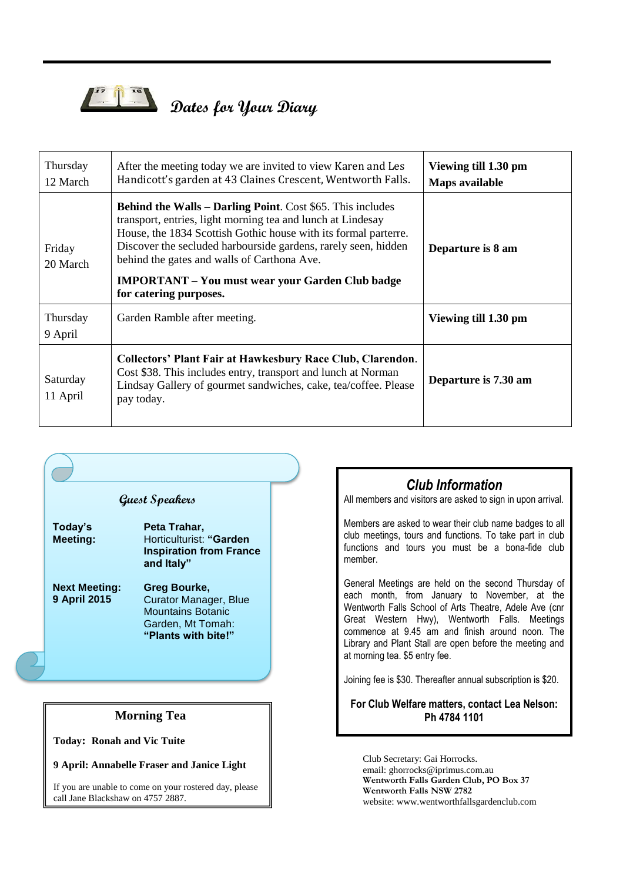

# *Dates for Your Diary*

| Thursday<br>12 March | After the meeting today we are invited to view Karen and Les<br>Handicott's garden at 43 Claines Crescent, Wentworth Falls.                                                                                                                                                                                                                                                                               | Viewing till 1.30 pm<br>Maps available |
|----------------------|-----------------------------------------------------------------------------------------------------------------------------------------------------------------------------------------------------------------------------------------------------------------------------------------------------------------------------------------------------------------------------------------------------------|----------------------------------------|
| Friday<br>20 March   | <b>Behind the Walls – Darling Point.</b> Cost \$65. This includes<br>transport, entries, light morning tea and lunch at Lindesay<br>House, the 1834 Scottish Gothic house with its formal parterre.<br>Discover the secluded harbourside gardens, rarely seen, hidden<br>behind the gates and walls of Carthona Ave.<br><b>IMPORTANT</b> – You must wear your Garden Club badge<br>for catering purposes. | Departure is 8 am                      |
| Thursday<br>9 April  | Garden Ramble after meeting.                                                                                                                                                                                                                                                                                                                                                                              | Viewing till 1.30 pm                   |
| Saturday<br>11 April | <b>Collectors' Plant Fair at Hawkesbury Race Club, Clarendon.</b><br>Cost \$38. This includes entry, transport and lunch at Norman<br>Lindsay Gallery of gourmet sandwiches, cake, tea/coffee. Please<br>pay today.                                                                                                                                                                                       | Departure is 7.30 am                   |



#### *Club Information*

All members and visitors are asked to sign in upon arrival.

Members are asked to wear their club name badges to all club meetings, tours and functions. To take part in club functions and tours you must be a bona-fide club member.

General Meetings are held on the second Thursday of each month, from January to November, at the Wentworth Falls School of Arts Theatre, Adele Ave (cnr Great Western Hwy), Wentworth Falls. Meetings commence at 9.45 am and finish around noon. The Library and Plant Stall are open before the meeting and at morning tea. \$5 entry fee.

Joining fee is \$30. Thereafter annual subscription is \$20.

#### **For Club Welfare matters, contact Lea Nelson: Ph 4784 1101**

Club Secretary: Gai Horrocks. email: ghorrocks@iprimus.com.au **Wentworth Falls Garden Club, PO Box 37 Wentworth Falls NSW 2782** website: www.wentworthfallsgardenclub.com

#### **Morning Tea**

**Today: Ronah and Vic Tuite**

**9 April: Annabelle Fraser and Janice Light**

If you are unable to come on your rostered day, please call Jane Blackshaw on 4757 2887.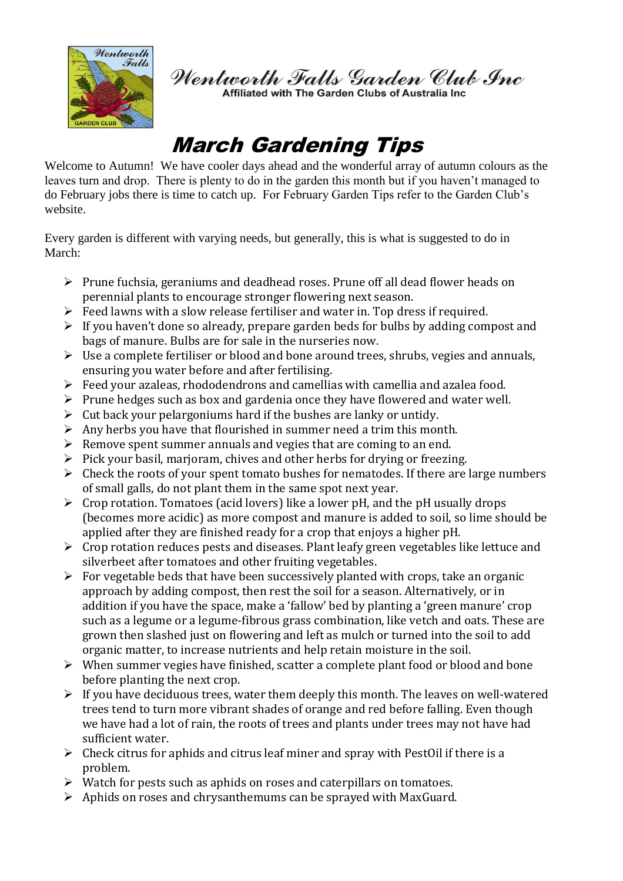

Wentworth Falls Garden Club Inc

Affiliated with The Garden Clubs of Australia Inc

## March Gardening Tips

Welcome to Autumn! We have cooler days ahead and the wonderful array of autumn colours as the leaves turn and drop. There is plenty to do in the garden this month but if you haven't managed to do February jobs there is time to catch up. For February Garden Tips refer to the Garden Club's website.

Every garden is different with varying needs, but generally, this is what is suggested to do in March:

- $\triangleright$  Prune fuchsia, geraniums and deadhead roses. Prune off all dead flower heads on perennial plants to encourage stronger flowering next season.
- $\triangleright$  Feed lawns with a slow release fertiliser and water in. Top dress if required.
- $\triangleright$  If you haven't done so already, prepare garden beds for bulbs by adding compost and bags of manure. Bulbs are for sale in the nurseries now.
- $\triangleright$  Use a complete fertiliser or blood and bone around trees, shrubs, vegies and annuals, ensuring you water before and after fertilising.
- Feed your azaleas, rhododendrons and camellias with camellia and azalea food.
- $\triangleright$  Prune hedges such as box and gardenia once they have flowered and water well.
- $\triangleright$  Cut back your pelargoniums hard if the bushes are lanky or untidy.
- $\triangleright$  Any herbs you have that flourished in summer need a trim this month.
- $\triangleright$  Remove spent summer annuals and vegies that are coming to an end.
- $\triangleright$  Pick your basil, marjoram, chives and other herbs for drying or freezing.
- $\triangleright$  Check the roots of your spent tomato bushes for nematodes. If there are large numbers of small galls, do not plant them in the same spot next year.
- $\triangleright$  Crop rotation. Tomatoes (acid lovers) like a lower pH, and the pH usually drops (becomes more acidic) as more compost and manure is added to soil, so lime should be applied after they are finished ready for a crop that enjoys a higher pH.
- $\triangleright$  Crop rotation reduces pests and diseases. Plant leafy green vegetables like lettuce and silverbeet after tomatoes and other fruiting vegetables.
- $\triangleright$  For vegetable beds that have been successively planted with crops, take an organic approach by adding compost, then rest the soil for a season. Alternatively, or in addition if you have the space, make a 'fallow' bed by planting a 'green manure' crop such as a legume or a legume-fibrous grass combination, like vetch and oats. These are grown then slashed just on flowering and left as mulch or turned into the soil to add organic matter, to increase nutrients and help retain moisture in the soil.
- $\triangleright$  When summer vegies have finished, scatter a complete plant food or blood and bone before planting the next crop.
- $\triangleright$  If you have deciduous trees, water them deeply this month. The leaves on well-watered trees tend to turn more vibrant shades of orange and red before falling. Even though we have had a lot of rain, the roots of trees and plants under trees may not have had sufficient water.
- $\triangleright$  Check citrus for aphids and citrus leaf miner and spray with PestOil if there is a problem.
- $\triangleright$  Watch for pests such as aphids on roses and caterpillars on tomatoes.
- $\triangleright$  Aphids on roses and chrysanthemums can be sprayed with MaxGuard.